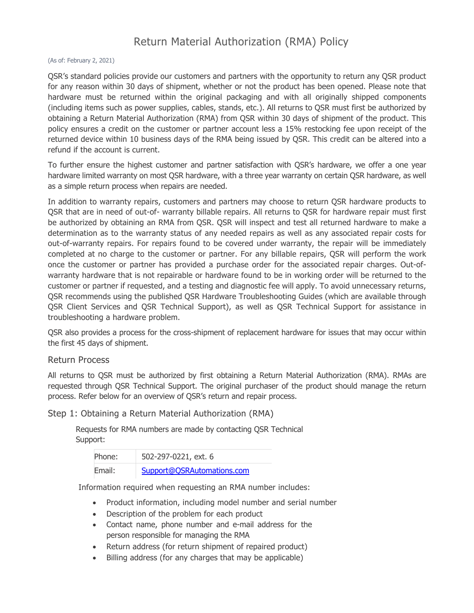# Return Material Authorization (RMA) Policy

#### (As of: February 2, 2021)

QSR's standard policies provide our customers and partners with the opportunity to return any QSR product for any reason within 30 days of shipment, whether or not the product has been opened. Please note that hardware must be returned within the original packaging and with all originally shipped components (including items such as power supplies, cables, stands, etc.). All returns to QSR must first be authorized by obtaining a Return Material Authorization (RMA) from QSR within 30 days of shipment of the product. This policy ensures a credit on the customer or partner account less a 15% restocking fee upon receipt of the returned device within 10 business days of the RMA being issued by QSR. This credit can be altered into a refund if the account is current.

To further ensure the highest customer and partner satisfaction with QSR's hardware, we offer a one year hardware limited warranty on most QSR hardware, with a three year warranty on certain QSR hardware, as well as a simple return process when repairs are needed.

In addition to warranty repairs, customers and partners may choose to return QSR hardware products to QSR that are in need of out-of- warranty billable repairs. All returns to QSR for hardware repair must first be authorized by obtaining an RMA from QSR. QSR will inspect and test all returned hardware to make a determination as to the warranty status of any needed repairs as well as any associated repair costs for out-of-warranty repairs. For repairs found to be covered under warranty, the repair will be immediately completed at no charge to the customer or partner. For any billable repairs, QSR will perform the work once the customer or partner has provided a purchase order for the associated repair charges. Out-ofwarranty hardware that is not repairable or hardware found to be in working order will be returned to the customer or partner if requested, and a testing and diagnostic fee will apply. To avoid unnecessary returns, QSR recommends using the published QSR Hardware Troubleshooting Guides (which are available through QSR Client Services and QSR Technical Support), as well as QSR Technical Support for assistance in troubleshooting a hardware problem.

QSR also provides a process for the cross-shipment of replacement hardware for issues that may occur within the first 45 days of shipment.

### Return Process

All returns to QSR must be authorized by first obtaining a Return Material Authorization (RMA). RMAs are requested through QSR Technical Support. The original purchaser of the product should manage the return process. Refer below for an overview of QSR's return and repair process.

Step 1: Obtaining a Return Material Authorization (RMA)

Requests for RMA numbers are made by contacting QSR Technical Support:

| Phone: | 502-297-0221, ext. 6       |
|--------|----------------------------|
| Email: | Support@QSRAutomations.com |

Information required when requesting an RMA number includes:

- Product information, including model number and serial number
- Description of the problem for each product
- Contact name, phone number and e-mail address for the person responsible for managing the RMA
- Return address (for return shipment of repaired product)
- Billing address (for any charges that may be applicable)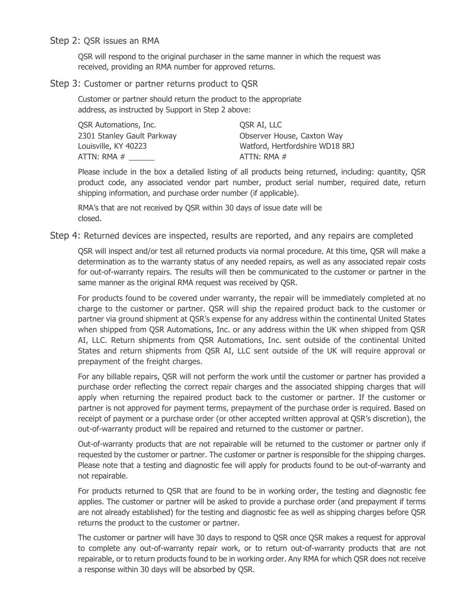### Step 2: QSR issues an RMA

QSR will respond to the original purchaser in the same manner in which the request was received, providing an RMA number for approved returns.

## Step 3: Customer or partner returns product to QSR

Customer or partner should return the product to the appropriate address, as instructed by Support in Step 2 above:

| <b>QSR Automations, Inc.</b> | QSR AI, LLC                     |
|------------------------------|---------------------------------|
| 2301 Stanley Gault Parkway   | Observer House, Caxton Way      |
| Louisville, KY 40223         | Watford, Hertfordshire WD18 8RJ |
| ATTN: RMA #                  | ATTN: RMA #                     |

Please include in the box a detailed listing of all products being returned, including: quantity, QSR product code, any associated vendor part number, product serial number, required date, return shipping information, and purchase order number (if applicable).

RMA's that are not received by QSR within 30 days of issue date will be closed.

### Step 4: Returned devices are inspected, results are reported, and any repairs are completed

QSR will inspect and/or test all returned products via normal procedure. At this time, QSR will make a determination as to the warranty status of any needed repairs, as well as any associated repair costs for out-of-warranty repairs. The results will then be communicated to the customer or partner in the same manner as the original RMA request was received by QSR.

For products found to be covered under warranty, the repair will be immediately completed at no charge to the customer or partner. QSR will ship the repaired product back to the customer or partner via ground shipment at QSR's expense for any address within the continental United States when shipped from QSR Automations, Inc. or any address within the UK when shipped from QSR AI, LLC. Return shipments from QSR Automations, Inc. sent outside of the continental United States and return shipments from QSR AI, LLC sent outside of the UK will require approval or prepayment of the freight charges.

For any billable repairs, QSR will not perform the work until the customer or partner has provided a purchase order reflecting the correct repair charges and the associated shipping charges that will apply when returning the repaired product back to the customer or partner. If the customer or partner is not approved for payment terms, prepayment of the purchase order is required. Based on receipt of payment or a purchase order (or other accepted written approval at QSR's discretion), the out-of-warranty product will be repaired and returned to the customer or partner.

Out-of-warranty products that are not repairable will be returned to the customer or partner only if requested by the customer or partner. The customer or partner is responsible for the shipping charges. Please note that a testing and diagnostic fee will apply for products found to be out-of-warranty and not repairable.

For products returned to QSR that are found to be in working order, the testing and diagnostic fee applies. The customer or partner will be asked to provide a purchase order (and prepayment if terms are not already established) for the testing and diagnostic fee as well as shipping charges before QSR returns the product to the customer or partner.

The customer or partner will have 30 days to respond to QSR once QSR makes a request for approval to complete any out-of-warranty repair work, or to return out-of-warranty products that are not repairable, or to return products found to be in working order. Any RMA for which QSR does not receive a response within 30 days will be absorbed by QSR.